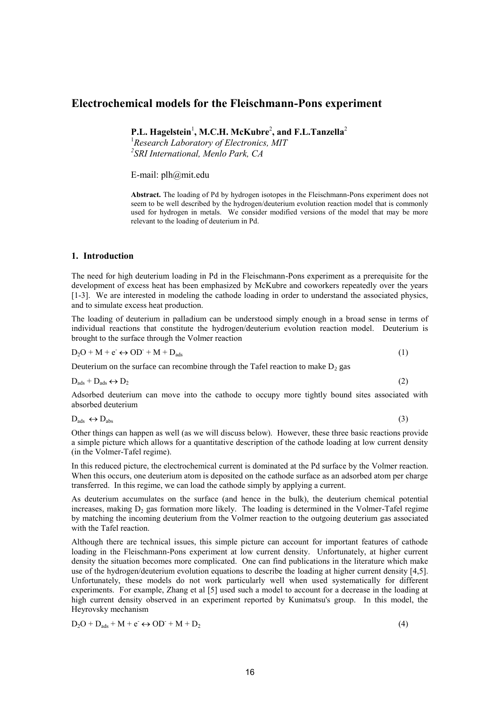# **Electrochemical models for the Fleischmann-Pons experiment**

P.L. Hagelstein<sup>1</sup>, M.C.H. McKubre<sup>2</sup>, and F.L.Tanzella<sup>2</sup>

<sup>1</sup>*Research Laboratory of Electronics, MIT 2 SRI International, Menlo Park, CA*

E-mail: plh@mit.edu

**Abstract.** The loading of Pd by hydrogen isotopes in the Fleischmann-Pons experiment does not seem to be well described by the hydrogen/deuterium evolution reaction model that is commonly used for hydrogen in metals. We consider modified versions of the model that may be more relevant to the loading of deuterium in Pd.

## **1. Introduction**

The need for high deuterium loading in Pd in the Fleischmann-Pons experiment as a prerequisite for the development of excess heat has been emphasized by McKubre and coworkers repeatedly over the years [1-3]. We are interested in modeling the cathode loading in order to understand the associated physics, and to simulate excess heat production.

The loading of deuterium in palladium can be understood simply enough in a broad sense in terms of individual reactions that constitute the hydrogen/deuterium evolution reaction model. Deuterium is brought to the surface through the Volmer reaction

 $D_2O + M + e^- \leftrightarrow OD^- + M + D_{ads}$  (1)

Deuterium on the surface can recombine through the Tafel reaction to make  $D_2$  gas

$$
D_{ads} + D_{ads} \leftrightarrow D_2 \tag{2}
$$

Adsorbed deuterium can move into the cathode to occupy more tightly bound sites associated with absorbed deuterium

 $D_{\text{ads}} \leftrightarrow D_{\text{abs}}$  (3)

Other things can happen as well (as we will discuss below). However, these three basic reactions provide a simple picture which allows for a quantitative description of the cathode loading at low current density (in the Volmer-Tafel regime).

In this reduced picture, the electrochemical current is dominated at the Pd surface by the Volmer reaction. When this occurs, one deuterium atom is deposited on the cathode surface as an adsorbed atom per charge transferred. In this regime, we can load the cathode simply by applying a current.

As deuterium accumulates on the surface (and hence in the bulk), the deuterium chemical potential increases, making  $D_2$  gas formation more likely. The loading is determined in the Volmer-Tafel regime by matching the incoming deuterium from the Volmer reaction to the outgoing deuterium gas associated with the Tafel reaction.

Although there are technical issues, this simple picture can account for important features of cathode loading in the Fleischmann-Pons experiment at low current density. Unfortunately, at higher current density the situation becomes more complicated. One can find publications in the literature which make use of the hydrogen/deuterium evolution equations to describe the loading at higher current density [4,5]. Unfortunately, these models do not work particularly well when used systematically for different experiments. For example, Zhang et al [5] used such a model to account for a decrease in the loading at high current density observed in an experiment reported by Kunimatsu's group. In this model, the Heyrovsky mechanism

$$
D_2O + D_{ads} + M + e^- \leftrightarrow OD^- + M + D_2 \tag{4}
$$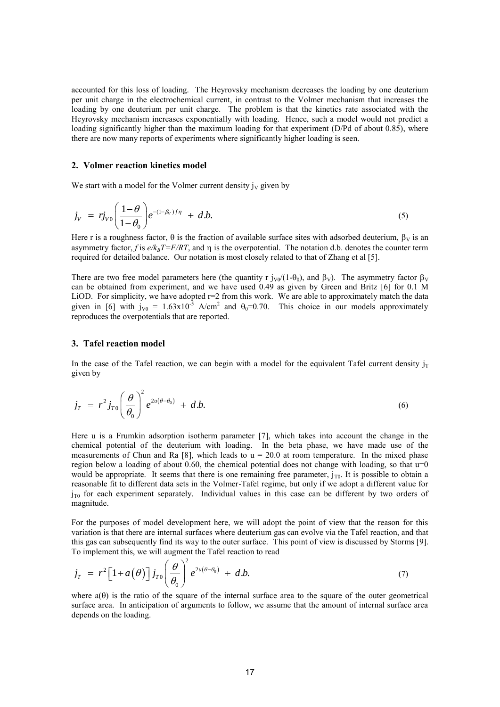accounted for this loss of loading. The Heyrovsky mechanism decreases the loading by one deuterium per unit charge in the electrochemical current, in contrast to the Volmer mechanism that increases the loading by one deuterium per unit charge. The problem is that the kinetics rate associated with the Heyrovsky mechanism increases exponentially with loading. Hence, such a model would not predict a loading significantly higher than the maximum loading for that experiment (D/Pd of about 0.85), where there are now many reports of experiments where significantly higher loading is seen.

## **2. Volmer reaction kinetics model**

We start with a model for the Volmer current density  $j_V$  given by

$$
j_V = r j_{V0} \left( \frac{1-\theta}{1-\theta_0} \right) e^{-(1-\beta_V)f\eta} + d.b. \tag{5}
$$

Here r is a roughness factor,  $\theta$  is the fraction of available surface sites with adsorbed deuterium,  $\beta_V$  is an asymmetry factor, *f* is  $e/k<sub>B</sub>T=F/RT$ , and  $\eta$  is the overpotential. The notation d.b. denotes the counter term required for detailed balance. Our notation is most closely related to that of Zhang et al [5].

There are two free model parameters here (the quantity r  $j_{\rm V0}/(1-\theta_0)$ , and  $\beta_{\rm V}$ ). The asymmetry factor  $\beta_{\rm V}$ can be obtained from experiment, and we have used 0.49 as given by Green and Britz [6] for 0.1 M LiOD. For simplicity, we have adopted r=2 from this work. We are able to approximately match the data given in [6] with  $j_{V0} = 1.63 \times 10^{-5}$  A/cm<sup>2</sup> and  $\theta_0 = 0.70$ . This choice in our models approximately reproduces the overpotentials that are reported.

## **3. Tafel reaction model**

In the case of the Tafel reaction, we can begin with a model for the equivalent Tafel current density  $i<sub>T</sub>$ given by

$$
j_T = r^2 j_{T0} \left(\frac{\theta}{\theta_0}\right)^2 e^{2u(\theta-\theta_0)} + d.b.
$$
\n(6)

Here u is a Frumkin adsorption isotherm parameter [7], which takes into account the change in the chemical potential of the deuterium with loading. In the beta phase, we have made use of the measurements of Chun and Ra [8], which leads to  $u = 20.0$  at room temperature. In the mixed phase region below a loading of about  $0.60$ , the chemical potential does not change with loading, so that  $u=0$ would be appropriate. It seems that there is one remaining free parameter,  $j_{T0}$ . It is possible to obtain a reasonable fit to different data sets in the Volmer-Tafel regime, but only if we adopt a different value for  $j_{\text{TO}}$  for each experiment separately. Individual values in this case can be different by two orders of magnitude.

For the purposes of model development here, we will adopt the point of view that the reason for this variation is that there are internal surfaces where deuterium gas can evolve via the Tafel reaction, and that this gas can subsequently find its way to the outer surface. This point of view is discussed by Storms [9].

To implement this, we will augment the Tafel reaction to read  
\n
$$
j_T = r^2 \left[1 + a(\theta)\right] j_{T0} \left(\frac{\theta}{\theta_0}\right)^2 e^{2u(\theta - \theta_0)} + d.b.
$$
\n(7)

where  $a(\theta)$  is the ratio of the square of the internal surface area to the square of the outer geometrical surface area. In anticipation of arguments to follow, we assume that the amount of internal surface area depends on the loading.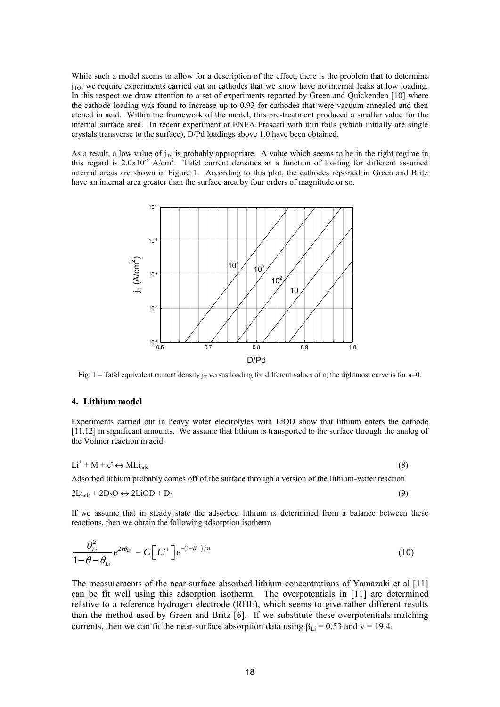While such a model seems to allow for a description of the effect, there is the problem that to determine  $j_{\text{TO}}$ , we require experiments carried out on cathodes that we know have no internal leaks at low loading. In this respect we draw attention to a set of experiments reported by Green and Quickenden [10] where the cathode loading was found to increase up to 0.93 for cathodes that were vacuum annealed and then etched in acid. Within the framework of the model, this pre-treatment produced a smaller value for the internal surface area. In recent experiment at ENEA Frascati with thin foils (which initially are single crystals transverse to the surface), D/Pd loadings above 1.0 have been obtained.

As a result, a low value of  $j_{T0}$  is probably appropriate. A value which seems to be in the right regime in this regard is  $2.0x10^{-8}$  A/cm<sup>2</sup>. Tafel current densities as a function of loading for different assumed internal areas are shown in Figure 1. According to this plot, the cathodes reported in Green and Britz have an internal area greater than the surface area by four orders of magnitude or so.



Fig. 1 – Tafel equivalent current density  $j_T$  versus loading for different values of a; the rightmost curve is for a=0.

## **4. Lithium model**

Experiments carried out in heavy water electrolytes with LiOD show that lithium enters the cathode [11,12] in significant amounts. We assume that lithium is transported to the surface through the analog of the Volmer reaction in acid

$$
Li^{+} + M + e^{-} \leftrightarrow MLi_{ads}
$$
 (8)

Adsorbed lithium probably comes off of the surface through a version of the lithium-water reaction

$$
2Li_{ads} + 2D_2O \leftrightarrow 2LiOD + D_2 \tag{9}
$$

If we assume that in steady state the adsorbed lithium is determined from a balance between these reactions, then we obtain the following adsorption isotherm

$$
\frac{\theta_{Li}^2}{1-\theta-\theta_{Li}}e^{2\nu\theta_{Li}} = C\left[Li^+\right]e^{-(1-\beta_{Li})f\eta}
$$
\n(10)

The measurements of the near-surface absorbed lithium concentrations of Yamazaki et al [11] can be fit well using this adsorption isotherm. The overpotentials in [11] are determined relative to a reference hydrogen electrode (RHE), which seems to give rather different results than the method used by Green and Britz [6]. If we substitute these overpotentials matching currents, then we can fit the near-surface absorption data using  $\beta_{Li} = 0.53$  and v = 19.4.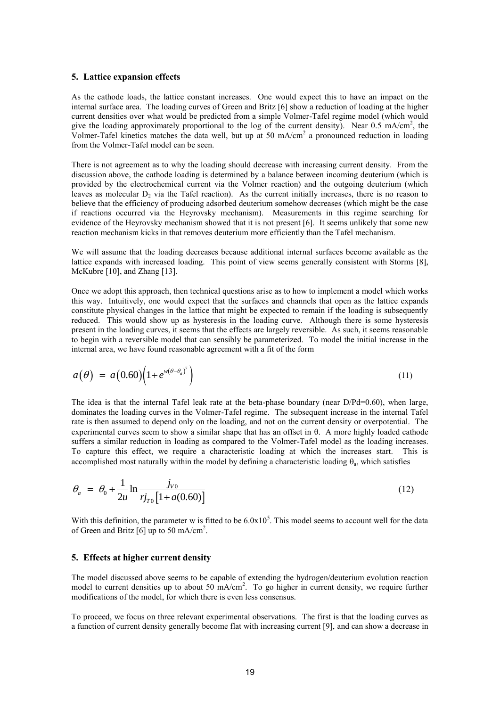## **5. Lattice expansion effects**

As the cathode loads, the lattice constant increases. One would expect this to have an impact on the internal surface area. The loading curves of Green and Britz [6] show a reduction of loading at the higher current densities over what would be predicted from a simple Volmer-Tafel regime model (which would give the loading approximately proportional to the log of the current density). Near  $0.5 \text{ mA/cm}^2$ , the Volmer-Tafel kinetics matches the data well, but up at 50 mA/cm<sup>2</sup> a pronounced reduction in loading from the Volmer-Tafel model can be seen.

There is not agreement as to why the loading should decrease with increasing current density. From the discussion above, the cathode loading is determined by a balance between incoming deuterium (which is provided by the electrochemical current via the Volmer reaction) and the outgoing deuterium (which leaves as molecular  $D_2$  via the Tafel reaction). As the current initially increases, there is no reason to believe that the efficiency of producing adsorbed deuterium somehow decreases (which might be the case if reactions occurred via the Heyrovsky mechanism). Measurements in this regime searching for evidence of the Heyrovsky mechanism showed that it is not present [6]. It seems unlikely that some new reaction mechanism kicks in that removes deuterium more efficiently than the Tafel mechanism.

We will assume that the loading decreases because additional internal surfaces become available as the lattice expands with increased loading. This point of view seems generally consistent with Storms [8], McKubre [10], and Zhang [13].

Once we adopt this approach, then technical questions arise as to how to implement a model which works this way. Intuitively, one would expect that the surfaces and channels that open as the lattice expands constitute physical changes in the lattice that might be expected to remain if the loading is subsequently reduced. This would show up as hysteresis in the loading curve. Although there is some hysteresis present in the loading curves, it seems that the effects are largely reversible. As such, it seems reasonable to begin with a reversible model that can sensibly be parameterized. To model the initial increase in the internal area, we have found reasonable agreement with a fit of the form

$$
a(\theta) = a(0.60)\left(1 + e^{w(\theta - \theta_a)^T}\right)
$$
\n(11)

The idea is that the internal Tafel leak rate at the beta-phase boundary (near  $D/Pd=0.60$ ), when large, dominates the loading curves in the Volmer-Tafel regime. The subsequent increase in the internal Tafel rate is then assumed to depend only on the loading, and not on the current density or overpotential. The experimental curves seem to show a similar shape that has an offset in  $\theta$ . A more highly loaded cathode suffers a similar reduction in loading as compared to the Volmer-Tafel model as the loading increases. To capture this effect, we require a characteristic loading at which the increases start. This is accomplished most naturally within the model by defining a characteristic loading  $\theta_a$ , which satisfies

$$
\theta_a = \theta_0 + \frac{1}{2u} \ln \frac{j_{v0}}{r j_{T0} [1 + a(0.60)]}
$$
\n(12)

With this definition, the parameter w is fitted to be  $6.0x10<sup>5</sup>$ . This model seems to account well for the data of Green and Britz [6] up to 50 mA/cm<sup>2</sup>.

## **5. Effects at higher current density**

The model discussed above seems to be capable of extending the hydrogen/deuterium evolution reaction model to current densities up to about 50 mA/cm<sup>2</sup>. To go higher in current density, we require further modifications of the model, for which there is even less consensus.

To proceed, we focus on three relevant experimental observations. The first is that the loading curves as a function of current density generally become flat with increasing current [9], and can show a decrease in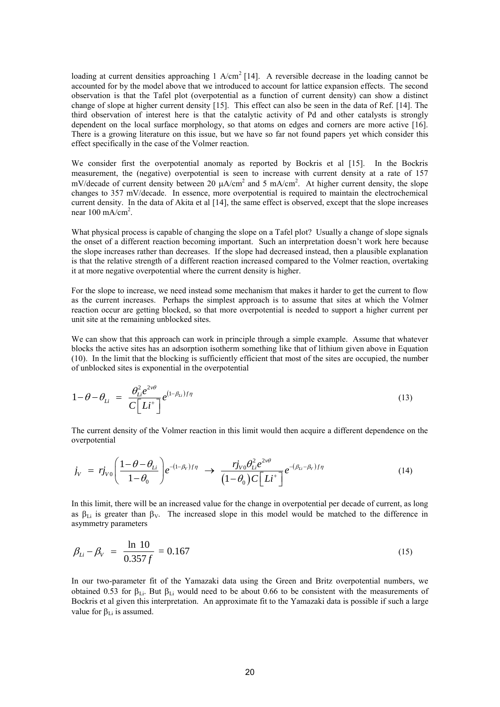loading at current densities approaching 1 A/cm<sup>2</sup> [14]. A reversible decrease in the loading cannot be accounted for by the model above that we introduced to account for lattice expansion effects. The second observation is that the Tafel plot (overpotential as a function of current density) can show a distinct change of slope at higher current density [15]. This effect can also be seen in the data of Ref. [14]. The third observation of interest here is that the catalytic activity of Pd and other catalysts is strongly dependent on the local surface morphology, so that atoms on edges and corners are more active [16]. There is a growing literature on this issue, but we have so far not found papers yet which consider this effect specifically in the case of the Volmer reaction.

We consider first the overpotential anomaly as reported by Bockris et al [15]. In the Bockris measurement, the (negative) overpotential is seen to increase with current density at a rate of 157 mV/decade of current density between 20  $\mu A/cm^2$  and 5 mA/cm<sup>2</sup>. At higher current density, the slope changes to 357 mV/decade. In essence, more overpotential is required to maintain the electrochemical current density. In the data of Akita et al [14], the same effect is observed, except that the slope increases near  $100 \text{ mA/cm}^2$ .

What physical process is capable of changing the slope on a Tafel plot? Usually a change of slope signals the onset of a different reaction becoming important. Such an interpretation doesn't work here because the slope increases rather than decreases. If the slope had decreased instead, then a plausible explanation is that the relative strength of a different reaction increased compared to the Volmer reaction, overtaking it at more negative overpotential where the current density is higher.

For the slope to increase, we need instead some mechanism that makes it harder to get the current to flow as the current increases. Perhaps the simplest approach is to assume that sites at which the Volmer reaction occur are getting blocked, so that more overpotential is needed to support a higher current per unit site at the remaining unblocked sites.

We can show that this approach can work in principle through a simple example. Assume that whatever blocks the active sites has an adsorption isotherm something like that of lithium given above in Equation (10). In the limit that the blocking is sufficiently efficient that most of the sites are occupied, the number of unblocked sites is exponential in the overpotential

$$
1 - \theta - \theta_{Li} = \frac{\theta_{Li}^2 e^{2\nu\theta}}{C \left[Li^+\right]} e^{(1-\beta_{Li})f\eta}
$$
\n(13)

The current density of the Volmer reaction in this limit would then acquire a different dependence on the overpotential

The current density of the Vonner reaction in this limit would then acquire a different dependence on  
overpotential  

$$
j_V = r j_{V0} \left( \frac{1 - \theta - \theta_{Li}}{1 - \theta_0} \right) e^{-(1 - \beta_V)f\eta} \longrightarrow \frac{r j_{V0} \theta_{Li}^2 e^{2\nu\theta}}{(1 - \theta_0) C \left[ Li^+ \right]} e^{-(\beta_{Li} - \beta_V)f\eta}
$$
(14)

In this limit, there will be an increased value for the change in overpotential per decade of current, as long as  $\beta_{Li}$  is greater than  $\beta_{V}$ . The increased slope in this model would be matched to the difference in asymmetry parameters

$$
\beta_{Li} - \beta_{V} = \frac{\ln 10}{0.357 f} = 0.167
$$
\n(15)

In our two-parameter fit of the Yamazaki data using the Green and Britz overpotential numbers, we obtained 0.53 for  $\beta_{Li}$ . But  $\beta_{Li}$  would need to be about 0.66 to be consistent with the measurements of Bockris et al given this interpretation. An approximate fit to the Yamazaki data is possible if such a large value for  $\beta_{Li}$  is assumed.